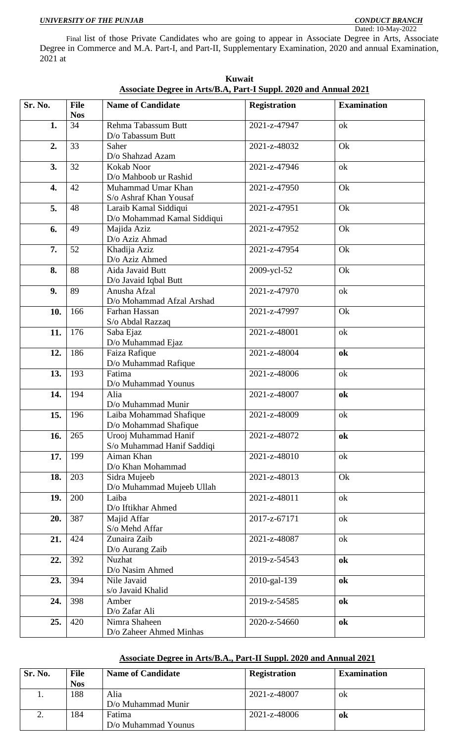Final list of those Private Candidates who are going to appear in Associate Degree in Arts, Associate Degree in Commerce and M.A. Part-I, and Part-II, Supplementary Examination, 2020 and annual Examination, 2021 at

| Sr. No.          | <b>File</b><br><b>Nos</b> | <b>Name of Candidate</b>                             | <b>Registration</b> | <b>Examination</b> |
|------------------|---------------------------|------------------------------------------------------|---------------------|--------------------|
| 1.               | 34                        | Rehma Tabassum Butt<br>D/o Tabassum Butt             | 2021-z-47947        | ok                 |
| 2.               | 33                        | Saher<br>D/o Shahzad Azam                            | 2021-z-48032        | Ok                 |
| 3.               | 32                        | Kokab Noor<br>D/o Mahboob ur Rashid                  | 2021-z-47946        | ok                 |
| $\overline{4}$ . | 42                        | Muhammad Umar Khan<br>S/o Ashraf Khan Yousaf         | 2021-z-47950        | Ok                 |
| 5.               | 48                        | Laraib Kamal Siddiqui<br>D/o Mohammad Kamal Siddiqui | 2021-z-47951        | Ok                 |
| 6.               | 49                        | Majida Aziz<br>D/o Aziz Ahmad                        | 2021-z-47952        | Ok                 |
| 7.               | 52                        | Khadija Aziz<br>D/o Aziz Ahmed                       | 2021-z-47954        | Ok                 |
| 8.               | 88                        | Aida Javaid Butt<br>D/o Javaid Iqbal Butt            | 2009-ycl-52         | Ok                 |
| 9.               | 89                        | Anusha Afzal<br>D/o Mohammad Afzal Arshad            | 2021-z-47970        | ok                 |
| 10.              | 166                       | Farhan Hassan<br>S/o Abdal Razzaq                    | 2021-z-47997        | Ok                 |
| 11.              | 176                       | Saba Ejaz<br>D/o Muhammad Ejaz                       | 2021-z-48001        | ok                 |
| 12.              | 186                       | Faiza Rafique<br>D/o Muhammad Rafique                | 2021-z-48004        | ok                 |
| 13.              | 193                       | Fatima<br>D/o Muhammad Younus                        | 2021-z-48006        | ok                 |
| 14.              | 194                       | Alia<br>D/o Muhammad Munir                           | 2021-z-48007        | ok                 |
| 15.              | 196                       | Laiba Mohammad Shafique<br>D/o Mohammad Shafique     | 2021-z-48009        | ok                 |
| 16.              | 265                       | Urooj Muhammad Hanif<br>S/o Muhammad Hanif Saddiqi   | 2021-z-48072        | ok                 |
| 17.              | 199                       | Aiman Khan<br>D/o Khan Mohammad                      | 2021-z-48010        | ok                 |
| 18.              | 203                       | Sidra Mujeeb<br>D/o Muhammad Mujeeb Ullah            | 2021-z-48013        | Ok                 |
| 19.              | 200                       | Laiba<br>D/o Iftikhar Ahmed                          | 2021-z-48011        | ok                 |
| 20.              | 387                       | Majid Affar<br>S/o Mehd Affar                        | 2017-z-67171        | ok                 |
| 21.              | 424                       | Zunaira Zaib<br>D/o Aurang Zaib                      | 2021-z-48087        | ok                 |
| 22.              | 392                       | Nuzhat<br>D/o Nasim Ahmed                            | 2019-z-54543        | ok                 |
| 23.              | 394                       | Nile Javaid<br>s/o Javaid Khalid                     | 2010-gal-139        | ok                 |
| 24.              | 398                       | Amber<br>D/o Zafar Ali                               | 2019-z-54585        | ok                 |
| 25.              | 420                       | Nimra Shaheen<br>D/o Zaheer Ahmed Minhas             | 2020-z-54660        | ok                 |

**Kuwait Associate Degree in Arts/B.A, Part-I Suppl. 2020 and Annual 2021**

#### **Associate Degree in Arts/B.A., Part-II Suppl. 2020 and Annual 2021**

| Sr. No. | <b>File</b><br><b>Nos</b> | <b>Name of Candidate</b>      | <b>Registration</b> | <b>Examination</b> |
|---------|---------------------------|-------------------------------|---------------------|--------------------|
|         | 188                       | Alia<br>D/o Muhammad Munir    | 2021-z-48007        | ΟK                 |
|         | 184                       | Fatima<br>D/o Muhammad Younus | 2021-z-48006        | ok                 |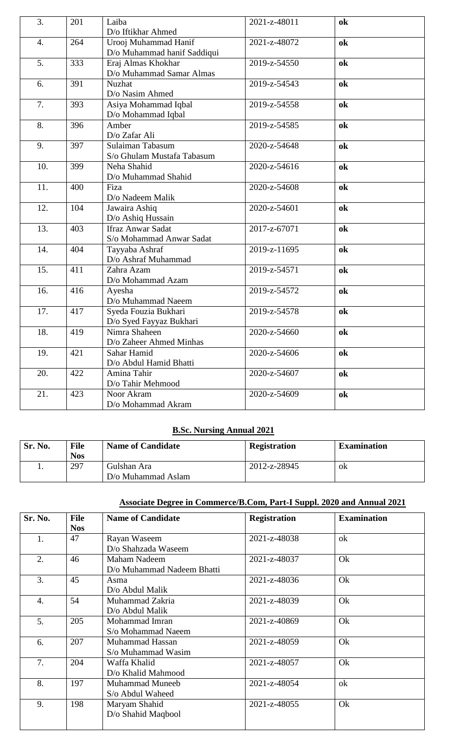| 3.               | 201 | Laiba<br>D/o Iftikhar Ahmed                          | 2021-z-48011       | ok |
|------------------|-----|------------------------------------------------------|--------------------|----|
| $\overline{4}$ . | 264 | Urooj Muhammad Hanif<br>D/o Muhammad hanif Saddiqui  | $2021 - z - 48072$ | ok |
| 5.               | 333 | Eraj Almas Khokhar<br>D/o Muhammad Samar Almas       | 2019-z-54550       | ok |
| 6.               | 391 | Nuzhat<br>D/o Nasim Ahmed                            | 2019-z-54543       | ok |
| 7.               | 393 | Asiya Mohammad Iqbal<br>D/o Mohammad Iqbal           | 2019-z-54558       | ok |
| 8.               | 396 | Amber<br>D/o Zafar Ali                               | 2019-z-54585       | ok |
| 9.               | 397 | Sulaiman Tabasum<br>S/o Ghulam Mustafa Tabasum       | 2020-z-54648       | ok |
| 10.              | 399 | Neha Shahid<br>D/o Muhammad Shahid                   | 2020-z-54616       | ok |
| 11.              | 400 | Fiza<br>D/o Nadeem Malik                             | 2020-z-54608       | ok |
| 12.              | 104 | Jawaira Ashiq<br>D/o Ashiq Hussain                   | 2020-z-54601       | ok |
| 13.              | 403 | <b>Ifraz Anwar Sadat</b><br>S/o Mohammad Anwar Sadat | 2017-z-67071       | ok |
| 14.              | 404 | Tayyaba Ashraf<br>D/o Ashraf Muhammad                | 2019-z-11695       | ok |
| 15.              | 411 | Zahra Azam<br>D/o Mohammad Azam                      | 2019-z-54571       | ok |
| 16.              | 416 | Ayesha<br>D/o Muhammad Naeem                         | 2019-z-54572       | ok |
| 17.              | 417 | Syeda Fouzia Bukhari<br>D/o Syed Fayyaz Bukhari      | 2019-z-54578       | ok |
| 18.              | 419 | Nimra Shaheen<br>D/o Zaheer Ahmed Minhas             | 2020-z-54660       | ok |
| 19.              | 421 | Sahar Hamid<br>D/o Abdul Hamid Bhatti                | 2020-z-54606       | ok |
| 20.              | 422 | Amina Tahir<br>D/o Tahir Mehmood                     | 2020-z-54607       | ok |
| 21.              | 423 | Noor Akram<br>D/o Mohammad Akram                     | 2020-z-54609       | ok |

### **B.Sc. Nursing Annual 2021**

| Sr. No. | <b>File</b><br><b>Nos</b> | <b>Name of Candidate</b>          | <b>Registration</b> | <b>Examination</b> |
|---------|---------------------------|-----------------------------------|---------------------|--------------------|
|         | 297                       | Gulshan Ara<br>D/o Muhammad Aslam | 2012-z-28945        | 0 <sub>k</sub>     |

## **Associate Degree in Commerce/B.Com, Part-I Suppl. 2020 and Annual 2021**

| Sr. No. | <b>File</b> | <b>Name of Candidate</b>   | <b>Registration</b> | <b>Examination</b> |
|---------|-------------|----------------------------|---------------------|--------------------|
|         | <b>Nos</b>  |                            |                     |                    |
| 1.      | 47          | Rayan Waseem               | 2021-z-48038        | ok                 |
|         |             | D/o Shahzada Waseem        |                     |                    |
| 2.      | 46          | <b>Maham Nadeem</b>        | 2021-z-48037        | Ok                 |
|         |             | D/o Muhammad Nadeem Bhatti |                     |                    |
| 3.      | 45          | Asma                       | 2021-z-48036        | Ok                 |
|         |             | D/o Abdul Malik            |                     |                    |
| 4.      | 54          | Muhammad Zakria            | 2021-z-48039        | Ok                 |
|         |             | D/o Abdul Malik            |                     |                    |
| 5.      | 205         | Mohammad Imran             | 2021-z-40869        | Ok                 |
|         |             | S/o Mohammad Naeem         |                     |                    |
| 6.      | 207         | Muhammad Hassan            | 2021-z-48059        | Ok                 |
|         |             | S/o Muhammad Wasim         |                     |                    |
| 7.      | 204         | Waffa Khalid               | 2021-z-48057        | Ok                 |
|         |             | D/o Khalid Mahmood         |                     |                    |
| 8.      | 197         | <b>Muhammad Muneeb</b>     | 2021-z-48054        | ok                 |
|         |             | S/o Abdul Waheed           |                     |                    |
| 9.      | 198         | Maryam Shahid              | 2021-z-48055        | Ok                 |
|         |             | D/o Shahid Maqbool         |                     |                    |
|         |             |                            |                     |                    |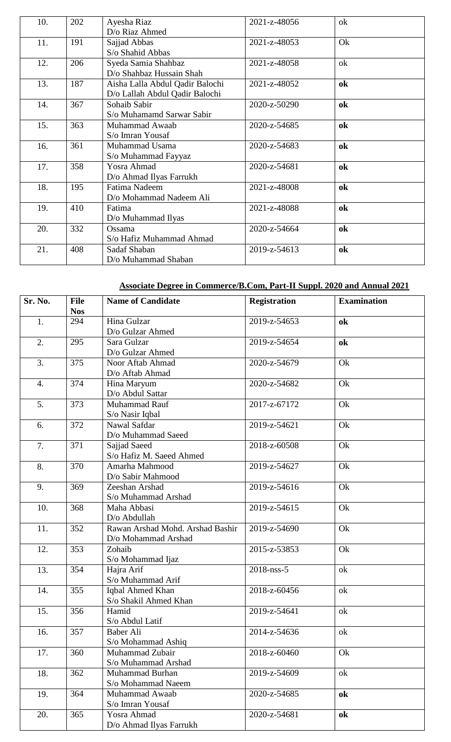| 10. | 202 | Ayesha Riaz                     | 2021-z-48056 | ok |
|-----|-----|---------------------------------|--------------|----|
|     |     | D/o Riaz Ahmed                  |              |    |
| 11. | 191 | Sajjad Abbas                    | 2021-z-48053 | Ok |
|     |     | S/o Shahid Abbas                |              |    |
| 12. | 206 | Syeda Samia Shahbaz             | 2021-z-48058 | ok |
|     |     | D/o Shahbaz Hussain Shah        |              |    |
| 13. | 187 | Aisha Lalla Abdul Qadir Balochi | 2021-z-48052 | ok |
|     |     | D/o Lallah Abdul Qadir Balochi  |              |    |
| 14. | 367 | Sohaib Sabir                    | 2020-z-50290 | ok |
|     |     | S/o Muhamamd Sarwar Sabir       |              |    |
| 15. | 363 | Muhammad Awaab                  | 2020-z-54685 | ok |
|     |     | S/o Imran Yousaf                |              |    |
| 16. | 361 | Muhammad Usama                  | 2020-z-54683 | ok |
|     |     | S/o Muhammad Fayyaz             |              |    |
| 17. | 358 | Yosra Ahmad                     | 2020-z-54681 | ok |
|     |     | D/o Ahmad Ilyas Farrukh         |              |    |
| 18. | 195 | Fatima Nadeem                   | 2021-z-48008 | ok |
|     |     | D/o Mohammad Nadeem Ali         |              |    |
| 19. | 410 | Fatima                          | 2021-z-48088 | ok |
|     |     | D/o Muhammad Ilyas              |              |    |
| 20. | 332 | Ossama                          | 2020-z-54664 | ok |
|     |     | S/o Hafiz Muhammad Ahmad        |              |    |
| 21. | 408 | Sadaf Shaban                    | 2019-z-54613 | ok |
|     |     | D/o Muhammad Shaban             |              |    |

# **Associate Degree in Commerce/B.Com, Part-II Suppl. 2020 and Annual 2021**

| Sr. No.          | <b>File</b> | <b>Name of Candidate</b>         | <b>Registration</b> | <b>Examination</b> |
|------------------|-------------|----------------------------------|---------------------|--------------------|
|                  | <b>Nos</b>  |                                  |                     |                    |
| 1.               | 294         | Hina Gulzar                      | 2019-z-54653        | ok                 |
|                  |             | D/o Gulzar Ahmed                 |                     |                    |
| 2.               | 295         | Sara Gulzar                      | 2019-z-54654        | ok                 |
|                  |             | D/o Gulzar Ahmed                 |                     |                    |
| 3.               | 375         | Noor Aftab Ahmad                 | 2020-z-54679        | Ok                 |
|                  |             | D/o Aftab Ahmad                  |                     |                    |
| $\overline{4}$ . | 374         | Hina Maryum                      | 2020-z-54682        | Ok                 |
|                  |             | D/o Abdul Sattar                 |                     |                    |
| 5.               | 373         | Muhammad Rauf                    | 2017-z-67172        | Ok                 |
|                  |             | S/o Nasir Iqbal                  |                     |                    |
| 6.               | 372         | Nawal Safdar                     | 2019-z-54621        | Ok                 |
|                  |             | D/o Muhammad Saeed               |                     |                    |
| 7.               | 371         | Sajjad Saeed                     | 2018-z-60508        | Ok                 |
|                  |             | S/o Hafiz M. Saeed Ahmed         |                     |                    |
| 8.               | 370         | Amarha Mahmood                   | 2019-z-54627        | Ok                 |
|                  |             | D/o Sabir Mahmood                |                     |                    |
| 9.               | 369         | Zeeshan Arshad                   | 2019-z-54616        | Ok                 |
|                  |             | S/o Muhammad Arshad              |                     |                    |
| 10.              | 368         | Maha Abbasi                      | 2019-z-54615        | Ok                 |
|                  |             | D/o Abdullah                     |                     |                    |
| 11.              | 352         | Rawan Arshad Mohd. Arshad Bashir | 2019-z-54690        | Ok                 |
|                  |             | D/o Mohammad Arshad              |                     |                    |
| 12.              | 353         | Zohaib                           | 2015-z-53853        | Ok                 |
|                  |             | S/o Mohammad Ijaz                |                     |                    |
| 13.              | 354         | Hajra Arif                       | 2018-nss-5          | ok                 |
|                  |             | S/o Muhammad Arif                |                     |                    |
| 14.              | 355         | Iqbal Ahmed Khan                 | 2018-z-60456        | ok                 |
|                  |             | S/o Shakil Ahmed Khan            |                     |                    |
| 15.              | 356         | Hamid                            | 2019-z-54641        | ok                 |
|                  |             | S/o Abdul Latif                  |                     |                    |
| 16.              | 357         | Baber Ali                        | 2014-z-54636        | ok                 |
|                  |             | S/o Mohammad Ashiq               |                     |                    |
| 17.              | 360         | Muhammad Zubair                  | 2018-z-60460        | Ok                 |
|                  |             | S/o Muhammad Arshad              |                     |                    |
| 18.              | 362         | Muhammad Burhan                  | 2019-z-54609        | ok                 |
|                  |             | S/o Mohammad Naeem               |                     |                    |
| 19.              | 364         | Muhammad Awaab                   | 2020-z-54685        | ok                 |
|                  |             | S/o Imran Yousaf                 |                     |                    |
| 20.              | 365         | Yosra Ahmad                      | 2020-z-54681        | ok                 |
|                  |             | D/o Ahmad Ilyas Farrukh          |                     |                    |